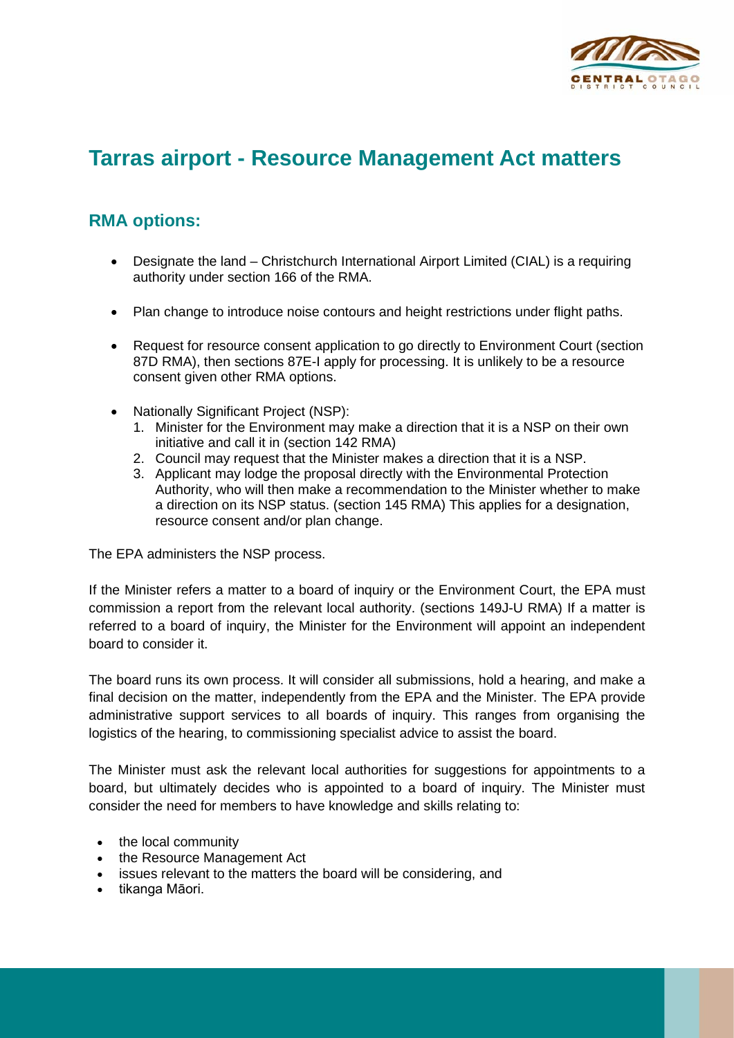

## **Tarras airport - Resource Management Act matters**

## **RMA options:**

- Designate the land Christchurch International Airport Limited (CIAL) is a requiring authority under section 166 of the RMA.
- Plan change to introduce noise contours and height restrictions under flight paths.
- Request for resource consent application to go directly to Environment Court (section 87D RMA), then sections 87E-I apply for processing. It is unlikely to be a resource consent given other RMA options.
- Nationally Significant Project (NSP):
	- 1. Minister for the Environment may make a direction that it is a NSP on their own initiative and call it in (section 142 RMA)
	- 2. Council may request that the Minister makes a direction that it is a NSP.
	- 3. Applicant may lodge the proposal directly with the Environmental Protection Authority, who will then make a recommendation to the Minister whether to make a direction on its NSP status. (section 145 RMA) This applies for a designation, resource consent and/or plan change.

The EPA administers the NSP process.

If the Minister refers a matter to a board of inquiry or the Environment Court, the EPA must commission a report from the relevant local authority. (sections 149J-U RMA) If a matter is referred to a board of inquiry, the Minister for the Environment will appoint an independent board to consider it.

The board runs its own process. It will consider all submissions, hold a hearing, and make a final decision on the matter, independently from the EPA and the Minister. The EPA provide administrative support services to all boards of inquiry. This ranges from organising the logistics of the hearing, to commissioning specialist advice to assist the board.

The Minister must ask the relevant local authorities for suggestions for appointments to a board, but ultimately decides who is appointed to a board of inquiry. The Minister must consider the need for members to have knowledge and skills relating to:

- the local community
- the Resource Management Act
- issues relevant to the matters the board will be considering, and
- tikanga Māori.